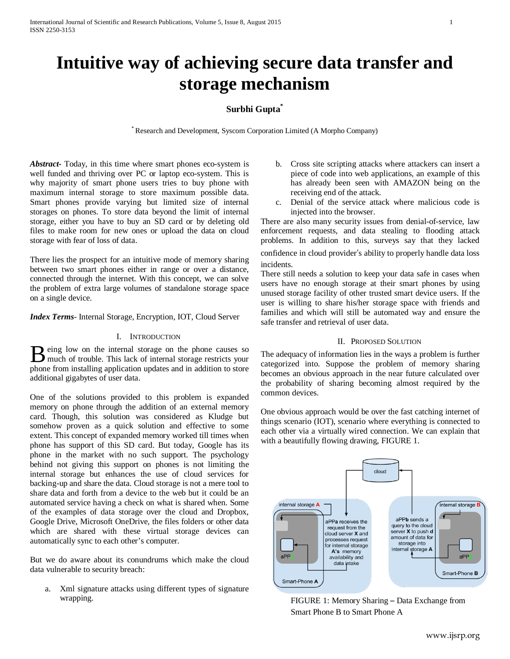# **Intuitive way of achieving secure data transfer and storage mechanism**

## **Surbhi Gupta\***

\* Research and Development, Syscom Corporation Limited (A Morpho Company)

*Abstract-* Today, in this time where smart phones eco-system is well funded and thriving over PC or laptop eco-system. This is why majority of smart phone users tries to buy phone with maximum internal storage to store maximum possible data. Smart phones provide varying but limited size of internal storages on phones. To store data beyond the limit of internal storage, either you have to buy an SD card or by deleting old files to make room for new ones or upload the data on cloud storage with fear of loss of data.

There lies the prospect for an intuitive mode of memory sharing between two smart phones either in range or over a distance, connected through the internet. With this concept, we can solve the problem of extra large volumes of standalone storage space on a single device.

*Index Terms*- Internal Storage, Encryption, IOT, Cloud Server

### I. INTRODUCTION

eing low on the internal storage on the phone causes so **B** eing low on the internal storage on the phone causes so much of trouble. This lack of internal storage restricts your phone from installing application updates and in addition to store additional gigabytes of user data.

One of the solutions provided to this problem is expanded memory on phone through the addition of an external memory card. Though, this solution was considered as Kludge but somehow proven as a quick solution and effective to some extent. This concept of expanded memory worked till times when phone has support of this SD card. But today, Google has its phone in the market with no such support. The psychology behind not giving this support on phones is not limiting the internal storage but enhances the use of cloud services for backing-up and share the data. Cloud storage is not a mere tool to share data and forth from a device to the web but it could be an automated service having a check on what is shared when. Some of the examples of data storage over the cloud and Dropbox, Google Drive, Microsoft OneDrive, the files folders or other data which are shared with these virtual storage devices can automatically sync to each other's computer.

But we do aware about its conundrums which make the cloud data vulnerable to security breach:

a. Xml signature attacks using different types of signature wrapping.

- b. Cross site scripting attacks where attackers can insert a piece of code into web applications, an example of this has already been seen with AMAZON being on the receiving end of the attack.
- c. Denial of the service attack where malicious code is injected into the browser.

There are also many security issues from denial-of-service, law enforcement requests, and data stealing to flooding attack problems. In addition to this, surveys say that they lacked confidence in cloud provider's ability to properly handle data loss incidents.

There still needs a solution to keep your data safe in cases when users have no enough storage at their smart phones by using unused storage facility of other trusted smart device users. If the user is willing to share his/her storage space with friends and families and which will still be automated way and ensure the safe transfer and retrieval of user data.

## II. PROPOSED SOLUTION

The adequacy of information lies in the ways a problem is further categorized into. Suppose the problem of memory sharing becomes an obvious approach in the near future calculated over the probability of sharing becoming almost required by the common devices.

One obvious approach would be over the fast catching internet of things scenario (IOT), scenario where everything is connected to each other via a virtually wired connection. We can explain that with a beautifully flowing drawing, FIGURE 1.



FIGURE 1: Memory Sharing – Data Exchange from Smart Phone B to Smart Phone A